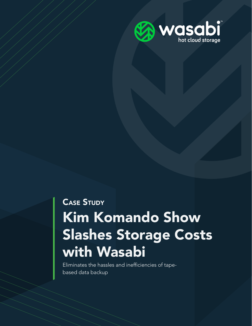

# Kim Komando Show Slashes Storage Costs with Wasabi CASE STUDY

Eliminates the hassles and inefficiencies of tapebased data backup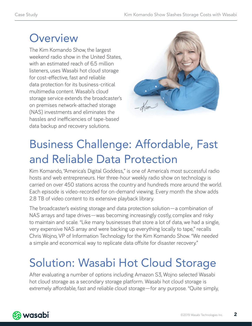### **Overview**

The Kim Komando Show, the largest weekend radio show in the United States, with an estimated reach of 6.5 million listeners, uses Wasabi hot cloud storage for cost-effective, fast and reliable data protection for its business-critical multimedia content. Wasabi's cloud storage service extends the broadcaster's on premises network-attached storage (NAS) investments and eliminates the hassles and inefficiencies of tape-based data backup and recovery solutions.



## Business Challenge: Affordable, Fast and Reliable Data Protection

Kim Komando, "America's Digital Goddess," is one of America's most successful radio hosts and web entrepreneurs. Her three-hour weekly radio show on technology is carried on over 450 stations across the country and hundreds more around the world. Each episode is video-recorded for on-demand viewing. Every month the show adds 2.8 TB of video content to its extensive playback library.

The broadcaster's existing storage and data protection solution—a combination of NAS arrays and tape drives—was becoming increasingly costly, complex and risky to maintain and scale. "Like many businesses that store a lot of data, we had a single, very expensive NAS array and were backing up everything locally to tape," recalls Chris Wojno, VP of Information Technology for the Kim Komando Show. "We needed a simple and economical way to replicate data offsite for disaster recovery."

## Solution: Wasabi Hot Cloud Storage

After evaluating a number of options including Amazon S3, Wojno selected Wasabi hot cloud storage as a secondary storage platform. Wasabi hot cloud storage is extremely affordable, fast and reliable cloud storage—for any purpose. "Quite simply,

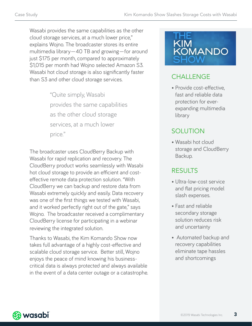Wasabi provides the same capabilities as the other cloud storage services, at a much lower price," explains Wojno. The broadcaster stores its entire multimedia library—40 TB and growing—for around just \$175 per month, compared to approximately \$1,015 per month had Wojno selected Amazon S3. Wasabi hot cloud storage is also significantly faster than S3 and other cloud storage services.

> "Quite simply, Wasabi provides the same capabilities as the other cloud storage services, at a much lower price."

The broadcaster uses CloudBerry Backup with Wasabi for rapid replication and recovery. The CloudBerry product works seamlessly with Wasabi hot cloud storage to provide an efficient and costeffective remote data protection solution. "With CloudBerry we can backup and restore data from Wasabi extremely quickly and easily. Data recovery was one of the first things we tested with Wasabi, and it worked perfectly right out of the gate," says Wojno. The broadcaster received a complimentary CloudBerry license for participating in a webinar reviewing the integrated solution.

Thanks to Wasabi, the Kim Komando Show now takes full advantage of a highly cost-effective and scalable cloud storage service. Better still, Wojno enjoys the peace of mind knowing his businesscritical data is always protected and always available in the event of a data center outage or a catastrophe.



#### **CHALLENGE**

• Provide cost-effective, fast and reliable data protection for everexpanding multimedia library

#### **SOLUTION**

• Wasabi hot cloud storage and CloudBerry Backup.

#### RESULTS

- Ultra-low-cost service and flat pricing model slash expenses.
- Fast and reliable secondary storage solution reduces risk and uncertainty
- Automated backup and recovery capabilities eliminate tape hassles and shortcomings